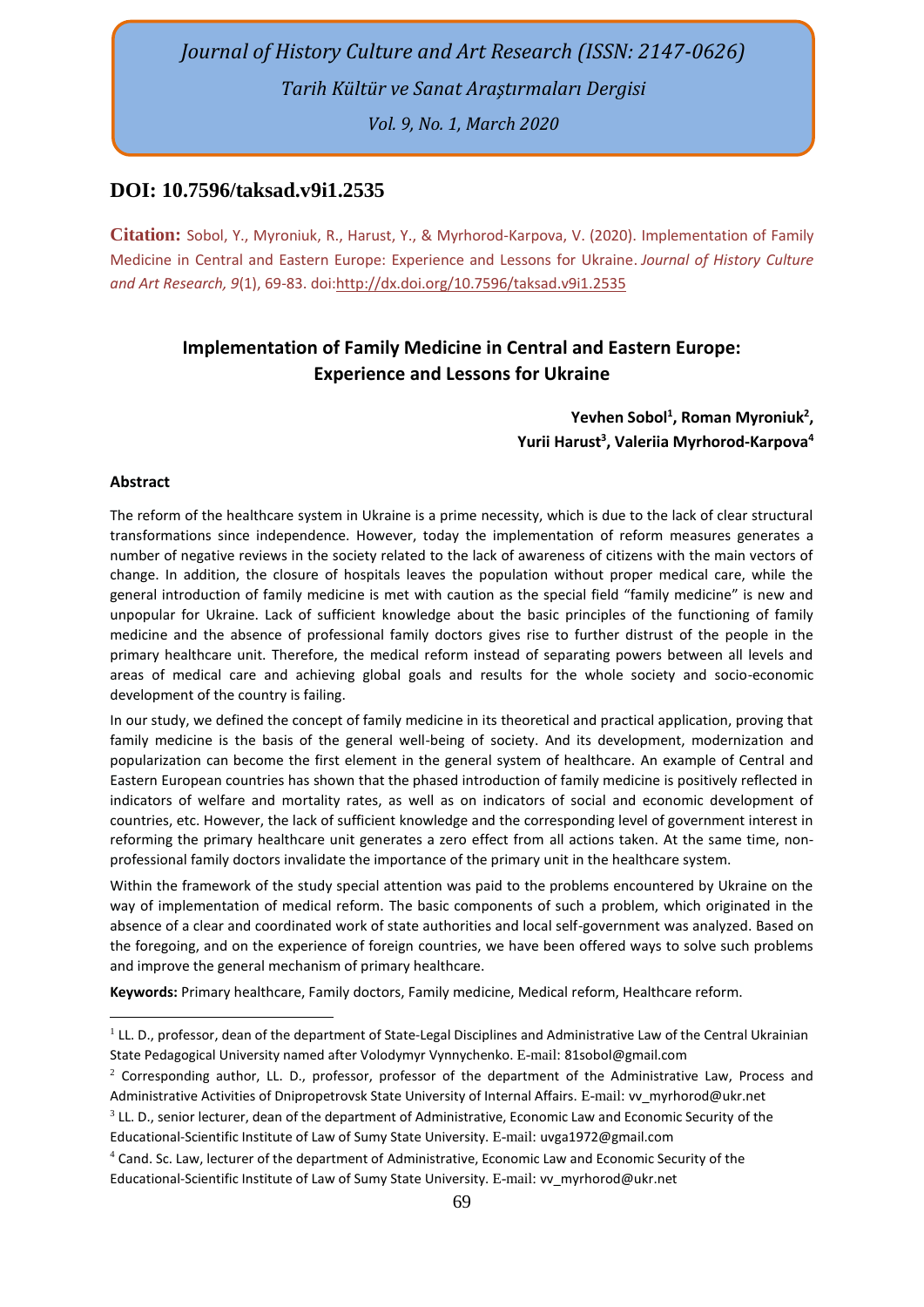# *Journal of History Culture and Art Research (ISSN: 2147-0626) Tarih Kültür ve Sanat Araştırmaları Dergisi Vol. 9, No. 1, March 2020*

# **DOI: 10.7596/taksad.v9i1.2535**

**Citation:** Sobol, Y., Myroniuk, R., Harust, Y., & Myrhorod-Karpova, V. (2020). Implementation of Family Medicine in Central and Eastern Europe: Experience and Lessons for Ukraine. *Journal of History Culture and Art Research, 9*(1), 69-83. doi[:http://dx.doi.org/10.7596/taksad.v9i1.2](http://dx.doi.org/10.7596/taksad.v8i4.2316)535

# **Implementation of Family Medicine in Central and Eastern Europe: Experience and Lessons for Ukraine**

# **Yevhen Sobol<sup>1</sup> , Roman Myroniuk<sup>2</sup> , Yurii Harust<sup>3</sup> , Valeriia Myrhorod-Karpova<sup>4</sup>**

#### **Abstract**

The reform of the healthcare system in Ukraine is a prime necessity, which is due to the lack of clear structural transformations since independence. However, today the implementation of reform measures generates a number of negative reviews in the society related to the lack of awareness of citizens with the main vectors of change. In addition, the closure of hospitals leaves the population without proper medical care, while the general introduction of family medicine is met with caution as the special field "family medicine" is new and unpopular for Ukraine. Lack of sufficient knowledge about the basic principles of the functioning of family medicine and the absence of professional family doctors gives rise to further distrust of the people in the primary healthcare unit. Therefore, the medical reform instead of separating powers between all levels and areas of medical care and achieving global goals and results for the whole society and socio-economic development of the country is failing.

In our study, we defined the concept of family medicine in its theoretical and practical application, proving that family medicine is the basis of the general well-being of society. And its development, modernization and popularization can become the first element in the general system of healthcare. An example of Central and Eastern European countries has shown that the phased introduction of family medicine is positively reflected in indicators of welfare and mortality rates, as well as on indicators of social and economic development of countries, etc. However, the lack of sufficient knowledge and the corresponding level of government interest in reforming the primary healthcare unit generates a zero effect from all actions taken. At the same time, nonprofessional family doctors invalidate the importance of the primary unit in the healthcare system.

Within the framework of the study special attention was paid to the problems encountered by Ukraine on the way of implementation of medical reform. The basic components of such a problem, which originated in the absence of a clear and coordinated work of state authorities and local self-government was analyzed. Based on the foregoing, and on the experience of foreign countries, we have been offered ways to solve such problems and improve the general mechanism of primary healthcare.

**Keywords:** Primary healthcare, Family doctors, Family medicine, Medical reform, Healthcare reform.

<sup>&</sup>lt;sup>1</sup> LL. D., professor, dean of the department of State-Legal Disciplines and Administrative Law of the Central Ukrainian State Pedagogical University named after Volodymyr Vynnychenko. E-mail: 81sobol@gmail.com

<sup>&</sup>lt;sup>2</sup> Corresponding author, LL. D., professor, professor of the department of the Administrative Law, Process and Administrative Activities of Dnipropetrovsk State University of Internal Affairs. E-mail: [vv\\_myrhorod@ukr.net](mailto:vv_myrhorod@ukr.net)

 $3$  LL. D., senior lecturer, dean of the department of Administrative, Economic Law and Economic Security of the Educational-Scientific Institute of Law of Sumy State University. E-mail: uvga1972@gmail.com

<sup>4</sup> Cand. Sc. Law, lecturer of the department of Administrative, Economic Law and Economic Security of the Educational-Scientific Institute of Law of Sumy State University. E-mail: [vv\\_myrhorod@ukr.net](mailto:vv_myrhorod@ukr.net)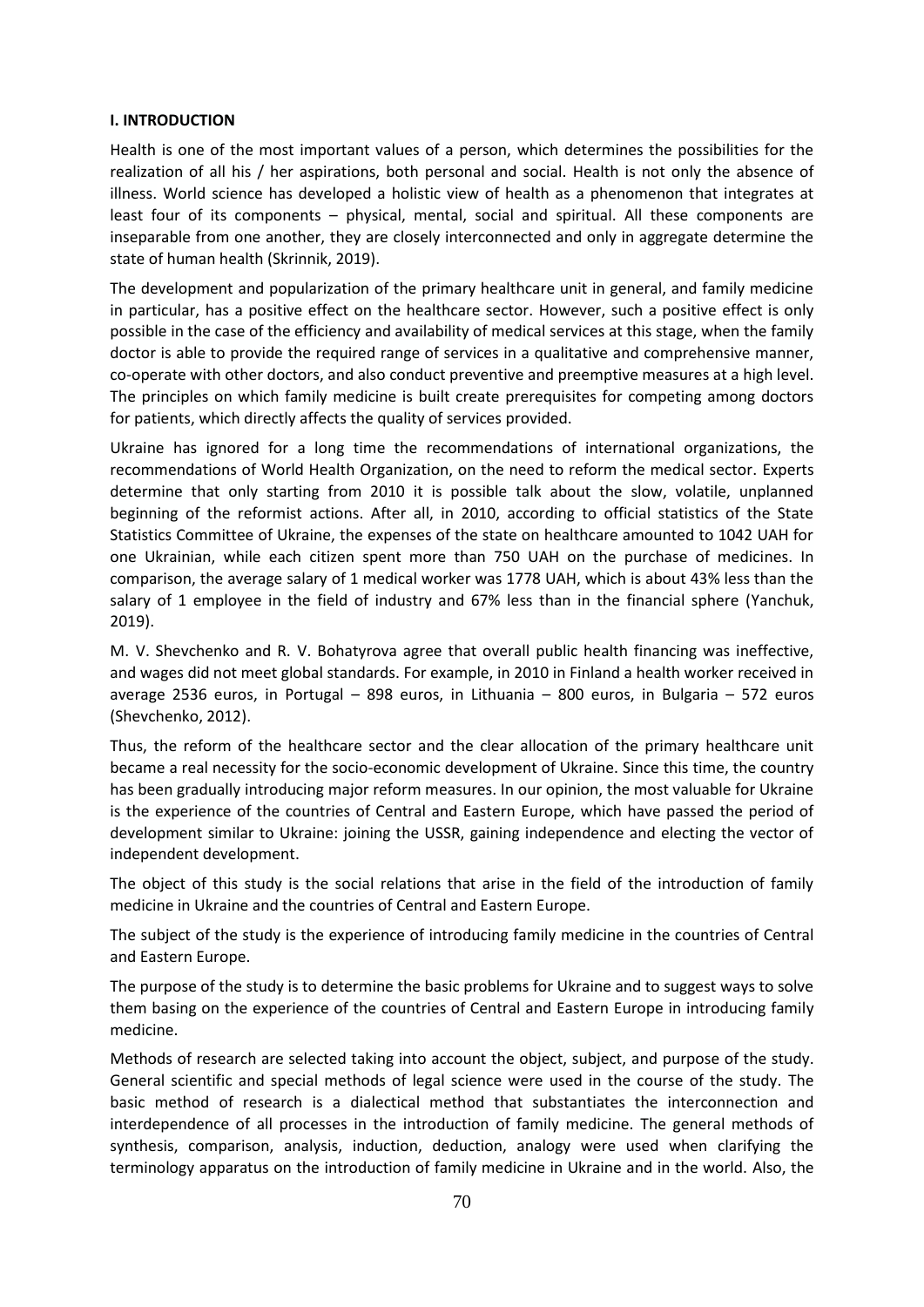#### **І. INTRODUCTION**

Health is one of the most important values of a person, which determines the possibilities for the realization of all his / her aspirations, both personal and social. Health is not only the absence of illness. World science has developed a holistic view of health as a phenomenon that integrates at least four of its components – physical, mental, social and spiritual. All these components are inseparable from one another, they are closely interconnected and only in aggregate determine the state of human health (Skrinnik, 2019).

The development and popularization of the primary healthcare unit in general, and family medicine in particular, has a positive effect on the healthcare sector. However, such a positive effect is only possible in the case of the efficiency and availability of medical services at this stage, when the family doctor is able to provide the required range of services in a qualitative and comprehensive manner, co-operate with other doctors, and also conduct preventive and preemptive measures at a high level. The principles on which family medicine is built create prerequisites for competing among doctors for patients, which directly affects the quality of services provided.

Ukraine has ignored for a long time the recommendations of international organizations, the recommendations of World Health Organization, on the need to reform the medical sector. Experts determine that only starting from 2010 it is possible talk about the slow, volatile, unplanned beginning of the reformist actions. After all, in 2010, according to official statistics of the State Statistics Committee of Ukraine, the expenses of the state on healthcare amounted to 1042 UAH for one Ukrainian, while each citizen spent more than 750 UAH on the purchase of medicines. In comparison, the average salary of 1 medical worker was 1778 UAH, which is about 43% less than the salary of 1 employee in the field of industry and 67% less than in the financial sphere (Yanchuk, 2019).

M. V. Shevchenko and R. V. Bohatyrova agree that overall public health financing was ineffective, and wages did not meet global standards. For example, in 2010 in Finland a health worker received in average 2536 euros, in Portugal – 898 euros, in Lithuania – 800 euros, in Bulgaria – 572 euros (Shevchenko, 2012).

Thus, the reform of the healthcare sector and the clear allocation of the primary healthcare unit became a real necessity for the socio-economic development of Ukraine. Since this time, the country has been gradually introducing major reform measures. In our opinion, the most valuable for Ukraine is the experience of the countries of Central and Eastern Europe, which have passed the period of development similar to Ukraine: joining the USSR, gaining independence and electing the vector of independent development.

The object of this study is the social relations that arise in the field of the introduction of family medicine in Ukraine and the countries of Central and Eastern Europe.

The subject of the study is the experience of introducing family medicine in the countries of Central and Eastern Europe.

The purpose of the study is to determine the basic problems for Ukraine and to suggest ways to solve them basing on the experience of the countries of Central and Eastern Europe in introducing family medicine.

Methods of research are selected taking into account the object, subject, and purpose of the study. General scientific and special methods of legal science were used in the course of the study. The basic method of research is a dialectical method that substantiates the interconnection and interdependence of all processes in the introduction of family medicine. The general methods of synthesis, comparison, analysis, induction, deduction, analogy were used when clarifying the terminology apparatus on the introduction of family medicine in Ukraine and in the world. Also, the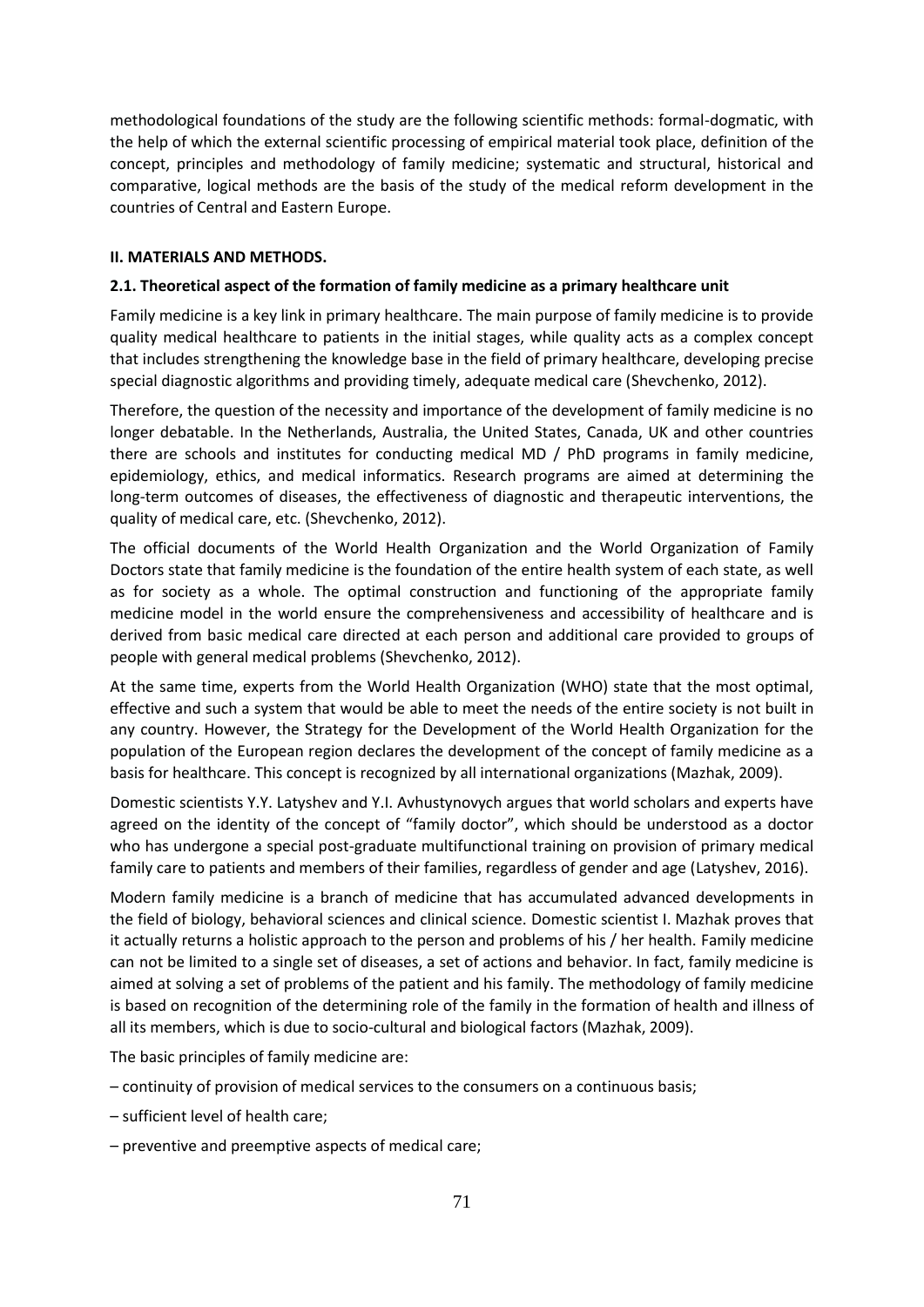methodological foundations of the study are the following scientific methods: formal-dogmatic, with the help of which the external scientific processing of empirical material took place, definition of the concept, principles and methodology of family medicine; systematic and structural, historical and comparative, logical methods are the basis of the study of the medical reform development in the countries of Central and Eastern Europe.

## **ІІ. MATERIALS AND METHODS.**

## **2.1. Theoretical aspect of the formation of family medicine as a primary healthcare unit**

Family medicine is a key link in primary healthcare. The main purpose of family medicine is to provide quality medical healthcare to patients in the initial stages, while quality acts as a complex concept that includes strengthening the knowledge base in the field of primary healthcare, developing precise special diagnostic algorithms and providing timely, adequate medical care (Shevchenko, 2012).

Therefore, the question of the necessity and importance of the development of family medicine is no longer debatable. In the Netherlands, Australia, the United States, Canada, UK and other countries there are schools and institutes for conducting medical MD / PhD programs in family medicine, epidemiology, ethics, and medical informatics. Research programs are aimed at determining the long-term outcomes of diseases, the effectiveness of diagnostic and therapeutic interventions, the quality of medical care, etc. (Shevchenko, 2012).

The official documents of the World Health Organization and the World Organization of Family Doctors state that family medicine is the foundation of the entire health system of each state, as well as for society as a whole. The optimal construction and functioning of the appropriate family medicine model in the world ensure the comprehensiveness and accessibility of healthcare and is derived from basic medical care directed at each person and additional care provided to groups of people with general medical problems (Shevchenko, 2012).

At the same time, experts from the World Health Organization (WHO) state that the most optimal, effective and such a system that would be able to meet the needs of the entire society is not built in any country. However, the Strategy for the Development of the World Health Organization for the population of the European region declares the development of the concept of family medicine as a basis for healthcare. This concept is recognized by all international organizations (Mazhak, 2009).

Domestic scientists Y.Y. Latyshev and Y.I. Avhustynovych argues that world scholars and experts have agreed on the identity of the concept of "family doctor", which should be understood as a doctor who has undergone a special post-graduate multifunctional training on provision of primary medical family care to patients and members of their families, regardless of gender and age (Latyshev, 2016).

Modern family medicine is a branch of medicine that has accumulated advanced developments in the field of biology, behavioral sciences and clinical science. Domestic scientist I. Mazhak proves that it actually returns a holistic approach to the person and problems of his / her health. Family medicine can not be limited to a single set of diseases, a set of actions and behavior. In fact, family medicine is aimed at solving a set of problems of the patient and his family. The methodology of family medicine is based on recognition of the determining role of the family in the formation of health and illness of all its members, which is due to socio-cultural and biological factors (Mazhak, 2009).

The basic principles of family medicine are:

- continuity of provision of medical services to the consumers on a continuous basis;
- sufficient level of health care;
- preventive and preemptive aspects of medical care;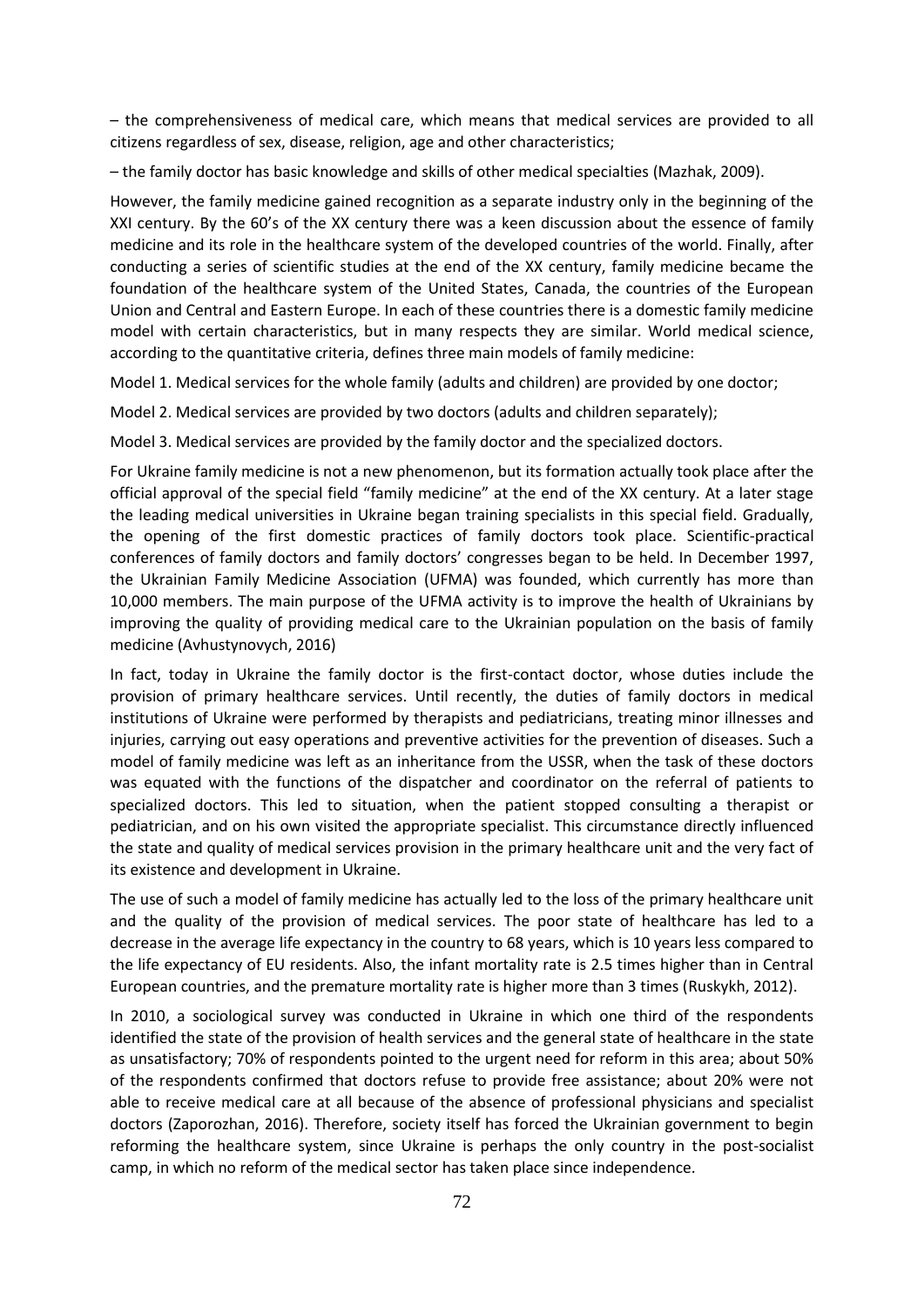– the comprehensiveness of medical care, which means that medical services are provided to all citizens regardless of sex, disease, religion, age and other characteristics;

– the family doctor has basic knowledge and skills of other medical specialties (Mazhak, 2009).

However, the family medicine gained recognition as a separate industry only in the beginning of the XXI century. By the 60's of the XX century there was a keen discussion about the essence of family medicine and its role in the healthcare system of the developed countries of the world. Finally, after conducting a series of scientific studies at the end of the XX century, family medicine became the foundation of the healthcare system of the United States, Canada, the countries of the European Union and Central and Eastern Europe. In each of these countries there is a domestic family medicine model with certain characteristics, but in many respects they are similar. World medical science, according to the quantitative criteria, defines three main models of family medicine:

Model 1. Medical services for the whole family (adults and children) are provided by one doctor;

Model 2. Medical services are provided by two doctors (adults and children separately);

Model 3. Medical services are provided by the family doctor and the specialized doctors.

For Ukraine family medicine is not a new phenomenon, but its formation actually took place after the official approval of the special field "family medicine" at the end of the XX century. At a later stage the leading medical universities in Ukraine began training specialists in this special field. Gradually, the opening of the first domestic practices of family doctors took place. Scientific-practical conferences of family doctors and family doctors' congresses began to be held. In December 1997, the Ukrainian Family Medicine Association (UFMA) was founded, which currently has more than 10,000 members. The main purpose of the UFMA activity is to improve the health of Ukrainians by improving the quality of providing medical care to the Ukrainian population on the basis of family medicine (Avhustynovych, 2016)

In fact, today in Ukraine the family doctor is the first-contact doctor, whose duties include the provision of primary healthcare services. Until recently, the duties of family doctors in medical institutions of Ukraine were performed by therapists and pediatricians, treating minor illnesses and injuries, carrying out easy operations and preventive activities for the prevention of diseases. Such a model of family medicine was left as an inheritance from the USSR, when the task of these doctors was equated with the functions of the dispatcher and coordinator on the referral of patients to specialized doctors. This led to situation, when the patient stopped consulting a therapist or pediatrician, and on his own visited the appropriate specialist. This circumstance directly influenced the state and quality of medical services provision in the primary healthcare unit and the very fact of its existence and development in Ukraine.

The use of such a model of family medicine has actually led to the loss of the primary healthcare unit and the quality of the provision of medical services. The poor state of healthcare has led to a decrease in the average life expectancy in the country to 68 years, which is 10 years less compared to the life expectancy of EU residents. Also, the infant mortality rate is 2.5 times higher than in Central European countries, and the premature mortality rate is higher more than 3 times (Ruskykh, 2012).

In 2010, a sociological survey was conducted in Ukraine in which one third of the respondents identified the state of the provision of health services and the general state of healthcare in the state as unsatisfactory; 70% of respondents pointed to the urgent need for reform in this area; about 50% of the respondents confirmed that doctors refuse to provide free assistance; about 20% were not able to receive medical care at all because of the absence of professional physicians and specialist doctors (Zaporozhan, 2016). Therefore, society itself has forced the Ukrainian government to begin reforming the healthcare system, since Ukraine is perhaps the only country in the post-socialist camp, in which no reform of the medical sector has taken place since independence.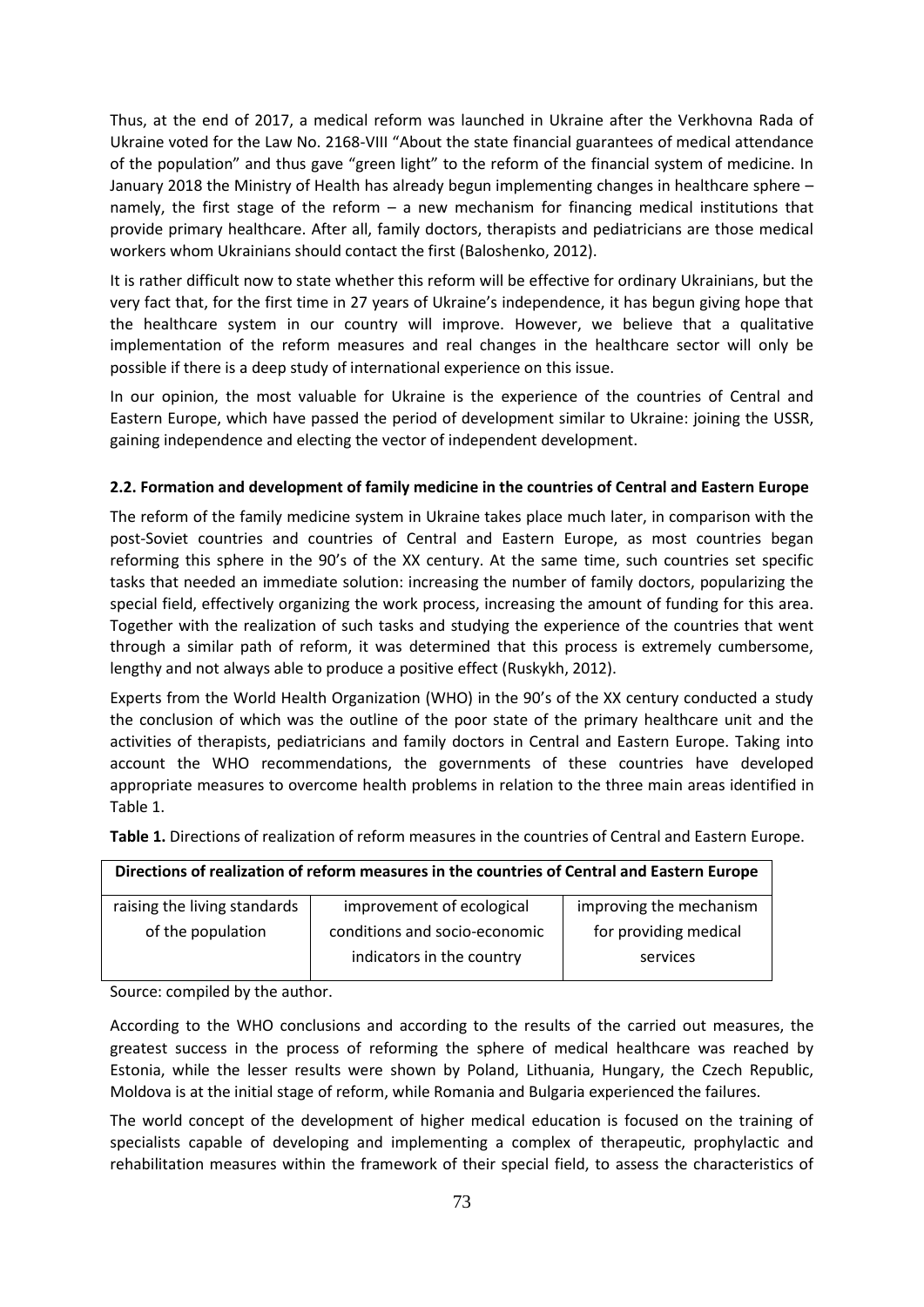Thus, at the end of 2017, a medical reform was launched in Ukraine after the Verkhovna Rada of Ukraine voted for the Law No. 2168-VIII "About the state financial guarantees of medical attendance of the population" and thus gave "green light" to the reform of the financial system of medicine. In January 2018 the Ministry of Health has already begun implementing changes in healthcare sphere – namely, the first stage of the reform – a new mechanism for financing medical institutions that provide primary healthcare. After all, family doctors, therapists and pediatricians are those medical workers whom Ukrainians should contact the first (Baloshenko, 2012).

It is rather difficult now to state whether this reform will be effective for ordinary Ukrainians, but the very fact that, for the first time in 27 years of Ukraine's independence, it has begun giving hope that the healthcare system in our country will improve. However, we believe that a qualitative implementation of the reform measures and real changes in the healthcare sector will only be possible if there is a deep study of international experience on this issue.

In our opinion, the most valuable for Ukraine is the experience of the countries of Central and Eastern Europe, which have passed the period of development similar to Ukraine: joining the USSR, gaining independence and electing the vector of independent development.

# **2.2. Formation and development of family medicine in the countries of Central and Eastern Europe**

The reform of the family medicine system in Ukraine takes place much later, in comparison with the post-Soviet countries and countries of Central and Eastern Europe, as most countries began reforming this sphere in the 90's of the XX century. At the same time, such countries set specific tasks that needed an immediate solution: increasing the number of family doctors, popularizing the special field, effectively organizing the work process, increasing the amount of funding for this area. Together with the realization of such tasks and studying the experience of the countries that went through a similar path of reform, it was determined that this process is extremely cumbersome, lengthy and not always able to produce a positive effect (Ruskykh, 2012).

Experts from the World Health Organization (WHO) in the 90's of the XX century conducted a study the conclusion of which was the outline of the poor state of the primary healthcare unit and the activities of therapists, pediatricians and family doctors in Central and Eastern Europe. Taking into account the WHO recommendations, the governments of these countries have developed appropriate measures to overcome health problems in relation to the three main areas identified in Table 1.

**Table 1.** Directions of realization of reform measures in the countries of Central and Eastern Europe.

| Directions of realization of reform measures in the countries of Central and Eastern Europe |                                                            |                                   |
|---------------------------------------------------------------------------------------------|------------------------------------------------------------|-----------------------------------|
| raising the living standards                                                                | improvement of ecological                                  | improving the mechanism           |
| of the population                                                                           | conditions and socio-economic<br>indicators in the country | for providing medical<br>services |

Source: compiled by the author.

According to the WHO conclusions and according to the results of the carried out measures, the greatest success in the process of reforming the sphere of medical healthcare was reached by Estonia, while the lesser results were shown by Poland, Lithuania, Hungary, the Czech Republic, Moldova is at the initial stage of reform, while Romania and Bulgaria experienced the failures.

The world concept of the development of higher medical education is focused on the training of specialists capable of developing and implementing a complex of therapeutic, prophylactic and rehabilitation measures within the framework of their special field, to assess the characteristics of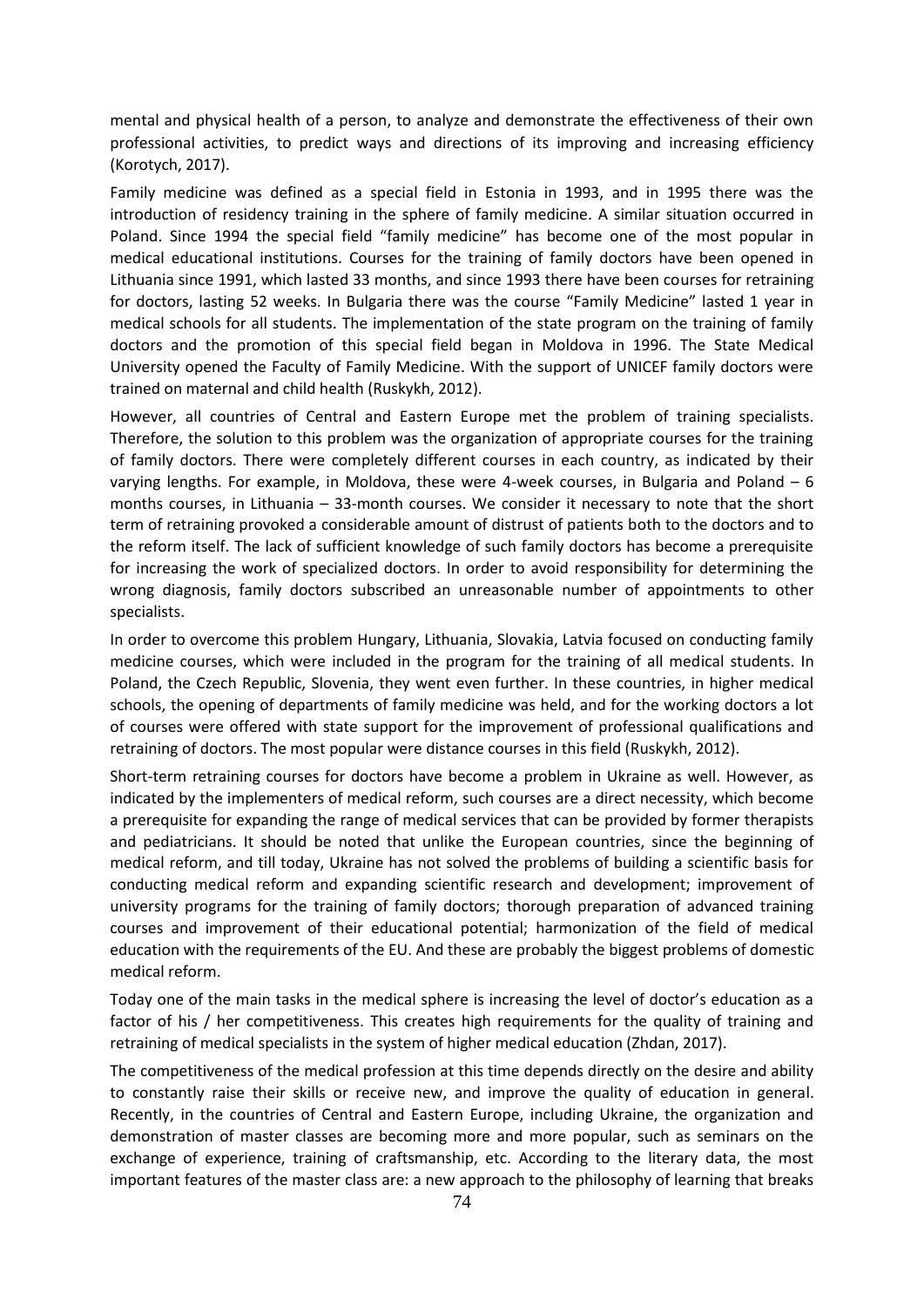mental and physical health of a person, to analyze and demonstrate the effectiveness of their own professional activities, to predict ways and directions of its improving and increasing efficiency (Korotych, 2017).

Family medicine was defined as a special field in Estonia in 1993, and in 1995 there was the introduction of residency training in the sphere of family medicine. A similar situation occurred in Poland. Since 1994 the special field "family medicine" has become one of the most popular in medical educational institutions. Courses for the training of family doctors have been opened in Lithuania since 1991, which lasted 33 months, and since 1993 there have been courses for retraining for doctors, lasting 52 weeks. In Bulgaria there was the course "Family Medicine" lasted 1 year in medical schools for all students. The implementation of the state program on the training of family doctors and the promotion of this special field began in Moldova in 1996. The State Medical University opened the Faculty of Family Medicine. With the support of UNICEF family doctors were trained on maternal and child health (Ruskykh, 2012).

However, all countries of Central and Eastern Europe met the problem of training specialists. Therefore, the solution to this problem was the organization of appropriate courses for the training of family doctors. There were completely different courses in each country, as indicated by their varying lengths. For example, in Moldova, these were 4-week courses, in Bulgaria and Poland – 6 months courses, in Lithuania – 33-month courses. We consider it necessary to note that the short term of retraining provoked a considerable amount of distrust of patients both to the doctors and to the reform itself. The lack of sufficient knowledge of such family doctors has become a prerequisite for increasing the work of specialized doctors. In order to avoid responsibility for determining the wrong diagnosis, family doctors subscribed an unreasonable number of appointments to other specialists.

In order to overcome this problem Hungary, Lithuania, Slovakia, Latvia focused on conducting family medicine courses, which were included in the program for the training of all medical students. In Poland, the Czech Republic, Slovenia, they went even further. In these countries, in higher medical schools, the opening of departments of family medicine was held, and for the working doctors a lot of courses were offered with state support for the improvement of professional qualifications and retraining of doctors. The most popular were distance courses in this field (Ruskykh, 2012).

Short-term retraining courses for doctors have become a problem in Ukraine as well. However, as indicated by the implementers of medical reform, such courses are a direct necessity, which become a prerequisite for expanding the range of medical services that can be provided by former therapists and pediatricians. It should be noted that unlike the European countries, since the beginning of medical reform, and till today, Ukraine has not solved the problems of building a scientific basis for conducting medical reform and expanding scientific research and development; improvement of university programs for the training of family doctors; thorough preparation of advanced training courses and improvement of their educational potential; harmonization of the field of medical education with the requirements of the EU. And these are probably the biggest problems of domestic medical reform.

Today one of the main tasks in the medical sphere is increasing the level of doctor's education as a factor of his / her competitiveness. This creates high requirements for the quality of training and retraining of medical specialists in the system of higher medical education (Zhdan, 2017).

The competitiveness of the medical profession at this time depends directly on the desire and ability to constantly raise their skills or receive new, and improve the quality of education in general. Recently, in the countries of Central and Eastern Europe, including Ukraine, the organization and demonstration of master classes are becoming more and more popular, such as seminars on the exchange of experience, training of craftsmanship, etc. According to the literary data, the most important features of the master class are: a new approach to the philosophy of learning that breaks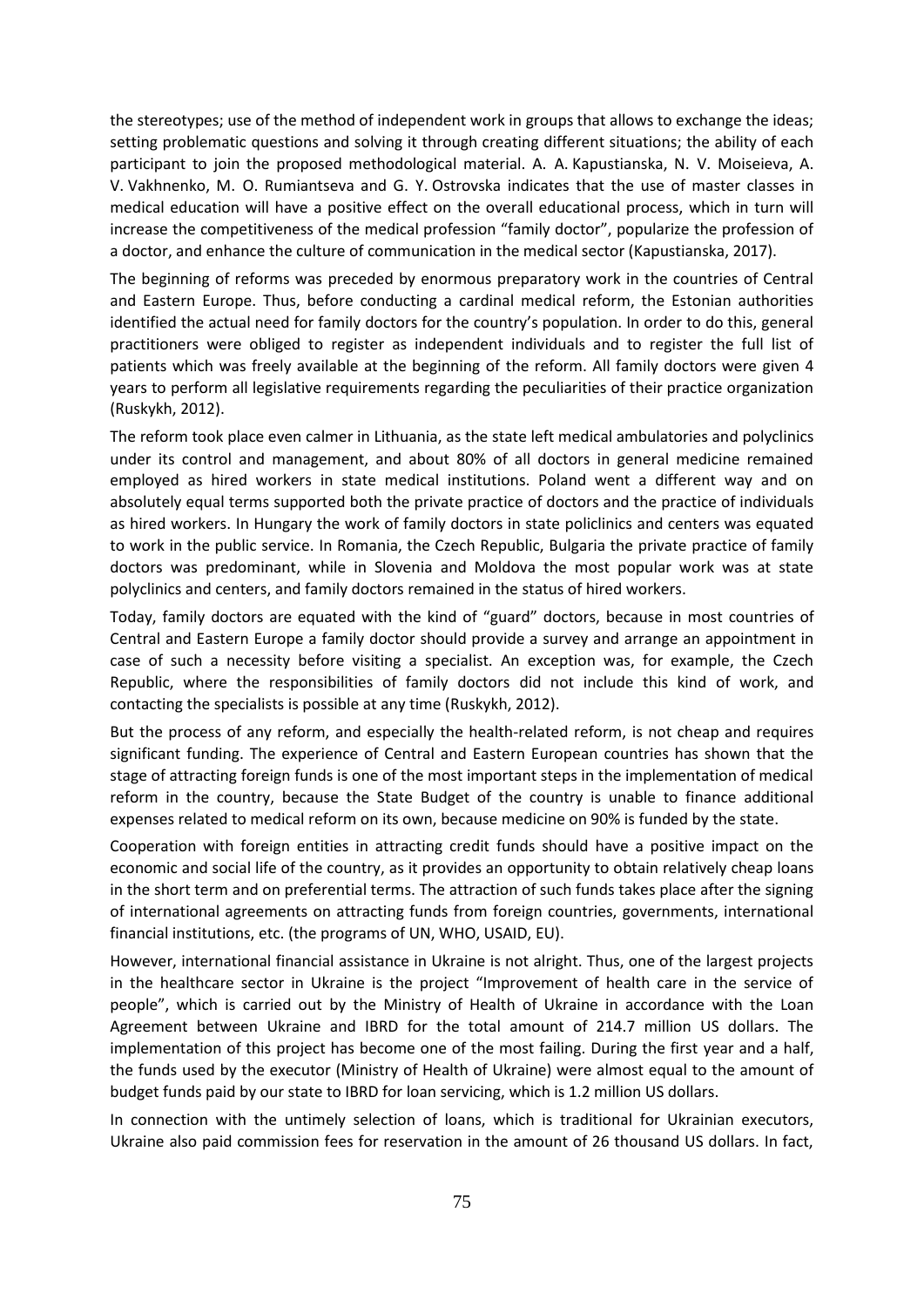the stereotypes; use of the method of independent work in groups that allows to exchange the ideas; setting problematic questions and solving it through creating different situations; the ability of each participant to join the proposed methodological material. A. A. Kapustianska, N. V. Moiseieva, A. V. Vakhnenko, M. O. Rumiantseva and G. Y. Ostrovska indicates that the use of master classes in medical education will have a positive effect on the overall educational process, which in turn will increase the competitiveness of the medical profession "family doctor", popularize the profession of a doctor, and enhance the culture of communication in the medical sector (Kapustianska, 2017).

The beginning of reforms was preceded by enormous preparatory work in the countries of Central and Eastern Europe. Thus, before conducting a cardinal medical reform, the Estonian authorities identified the actual need for family doctors for the country's population. In order to do this, general practitioners were obliged to register as independent individuals and to register the full list of patients which was freely available at the beginning of the reform. All family doctors were given 4 years to perform all legislative requirements regarding the peculiarities of their practice organization (Ruskykh, 2012).

The reform took place even calmer in Lithuania, as the state left medical ambulatories and polyclinics under its control and management, and about 80% of all doctors in general medicine remained employed as hired workers in state medical institutions. Poland went a different way and on absolutely equal terms supported both the private practice of doctors and the practice of individuals as hired workers. In Hungary the work of family doctors in state policlinics and centers was equated to work in the public service. In Romania, the Czech Republic, Bulgaria the private practice of family doctors was predominant, while in Slovenia and Moldova the most popular work was at state polyclinics and centers, and family doctors remained in the status of hired workers.

Today, family doctors are equated with the kind of "guard" doctors, because in most countries of Central and Eastern Europe a family doctor should provide a survey and arrange an appointment in case of such a necessity before visiting a specialist. An exception was, for example, the Czech Republic, where the responsibilities of family doctors did not include this kind of work, and contacting the specialists is possible at any time (Ruskykh, 2012).

But the process of any reform, and especially the health-related reform, is not cheap and requires significant funding. The experience of Central and Eastern European countries has shown that the stage of attracting foreign funds is one of the most important steps in the implementation of medical reform in the country, because the State Budget of the country is unable to finance additional expenses related to medical reform on its own, because medicine on 90% is funded by the state.

Cooperation with foreign entities in attracting credit funds should have a positive impact on the economic and social life of the country, as it provides an opportunity to obtain relatively cheap loans in the short term and on preferential terms. The attraction of such funds takes place after the signing of international agreements on attracting funds from foreign countries, governments, international financial institutions, etc. (the programs of UN, WHO, USAID, EU).

However, international financial assistance in Ukraine is not alright. Thus, one of the largest projects in the healthcare sector in Ukraine is the project "Improvement of health care in the service of people", which is carried out by the Ministry of Health of Ukraine in accordance with the Loan Agreement between Ukraine and IBRD for the total amount of 214.7 million US dollars. The implementation of this project has become one of the most failing. During the first year and a half, the funds used by the executor (Ministry of Health of Ukraine) were almost equal to the amount of budget funds paid by our state to IBRD for loan servicing, which is 1.2 million US dollars.

In connection with the untimely selection of loans, which is traditional for Ukrainian executors, Ukraine also paid commission fees for reservation in the amount of 26 thousand US dollars. In fact,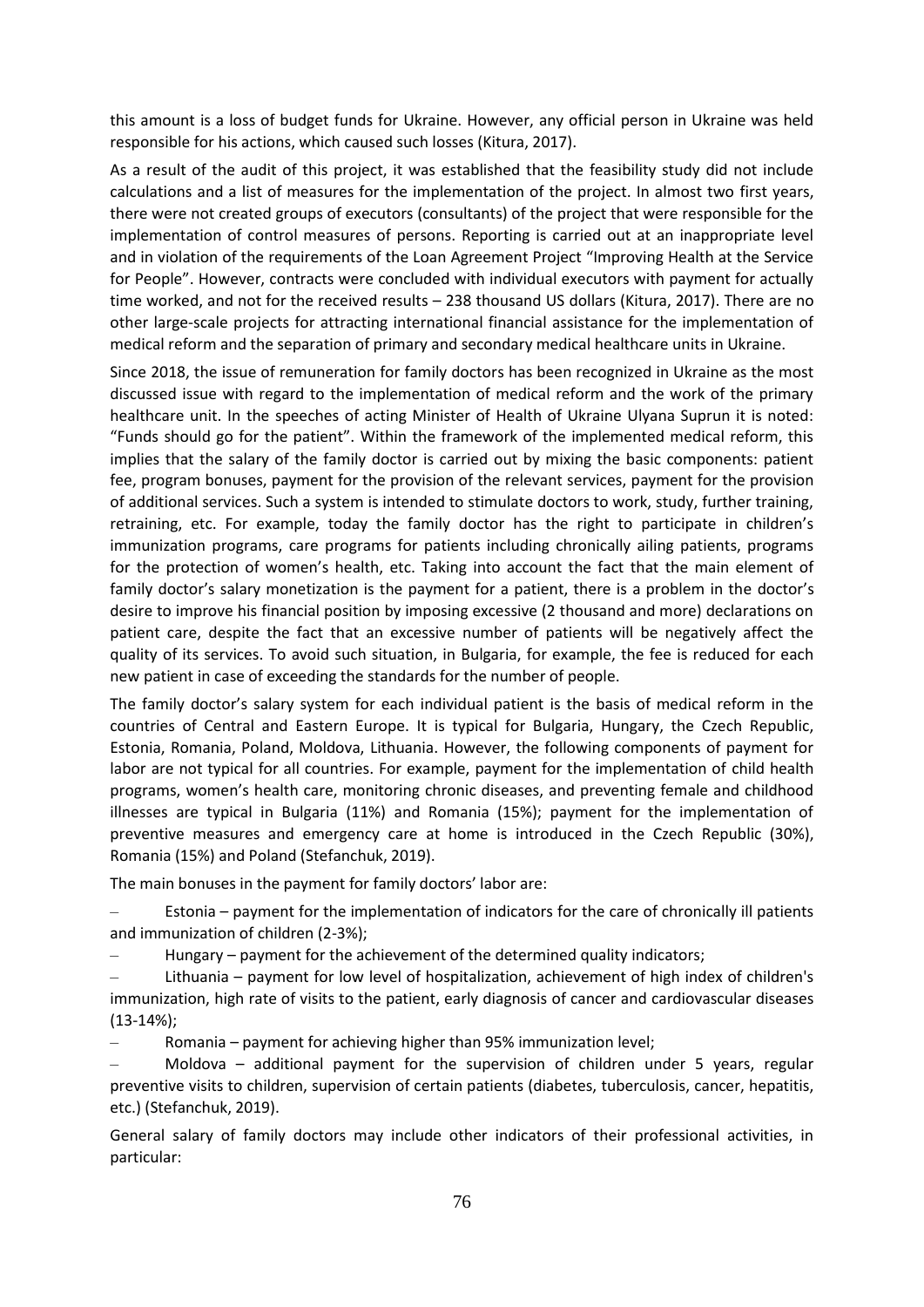this amount is a loss of budget funds for Ukraine. However, any official person in Ukraine was held responsible for his actions, which caused such losses (Kitura, 2017).

As a result of the audit of this project, it was established that the feasibility study did not include calculations and a list of measures for the implementation of the project. In almost two first years, there were not created groups of executors (consultants) of the project that were responsible for the implementation of control measures of persons. Reporting is carried out at an inappropriate level and in violation of the requirements of the Loan Agreement Project "Improving Health at the Service for People". However, contracts were concluded with individual executors with payment for actually time worked, and not for the received results – 238 thousand US dollars (Kitura, 2017). There are no other large-scale projects for attracting international financial assistance for the implementation of medical reform and the separation of primary and secondary medical healthcare units in Ukraine.

Since 2018, the issue of remuneration for family doctors has been recognized in Ukraine as the most discussed issue with regard to the implementation of medical reform and the work of the primary healthcare unit. In the speeches of acting Minister of Health of Ukraine Ulyana Suprun it is noted: "Funds should go for the patient". Within the framework of the implemented medical reform, this implies that the salary of the family doctor is carried out by mixing the basic components: patient fee, program bonuses, payment for the provision of the relevant services, payment for the provision of additional services. Such a system is intended to stimulate doctors to work, study, further training, retraining, etc. For example, today the family doctor has the right to participate in children's immunization programs, care programs for patients including chronically ailing patients, programs for the protection of women's health, etc. Taking into account the fact that the main element of family doctor's salary monetization is the payment for a patient, there is a problem in the doctor's desire to improve his financial position by imposing excessive (2 thousand and more) declarations on patient care, despite the fact that an excessive number of patients will be negatively affect the quality of its services. To avoid such situation, in Bulgaria, for example, the fee is reduced for each new patient in case of exceeding the standards for the number of people.

The family doctor's salary system for each individual patient is the basis of medical reform in the countries of Central and Eastern Europe. It is typical for Bulgaria, Hungary, the Czech Republic, Estonia, Romania, Poland, Moldova, Lithuania. However, the following components of payment for labor are not typical for all countries. For example, payment for the implementation of child health programs, women's health care, monitoring chronic diseases, and preventing female and childhood illnesses are typical in Bulgaria (11%) and Romania (15%); payment for the implementation of preventive measures and emergency care at home is introduced in the Czech Republic (30%), Romania (15%) and Poland (Stefanchuk, 2019).

The main bonuses in the payment for family doctors' labor are:

– Estonia – payment for the implementation of indicators for the care of chronically ill patients and immunization of children (2-3%);

– Hungary – payment for the achievement of the determined quality indicators;

– Lithuania – payment for low level of hospitalization, achievement of high index of children's immunization, high rate of visits to the patient, early diagnosis of cancer and cardiovascular diseases (13-14%);

– Romania – payment for achieving higher than 95% immunization level;

– Moldova – additional payment for the supervision of children under 5 years, regular preventive visits to children, supervision of certain patients (diabetes, tuberculosis, cancer, hepatitis, etc.) (Stefanchuk, 2019).

General salary of family doctors may include other indicators of their professional activities, in particular: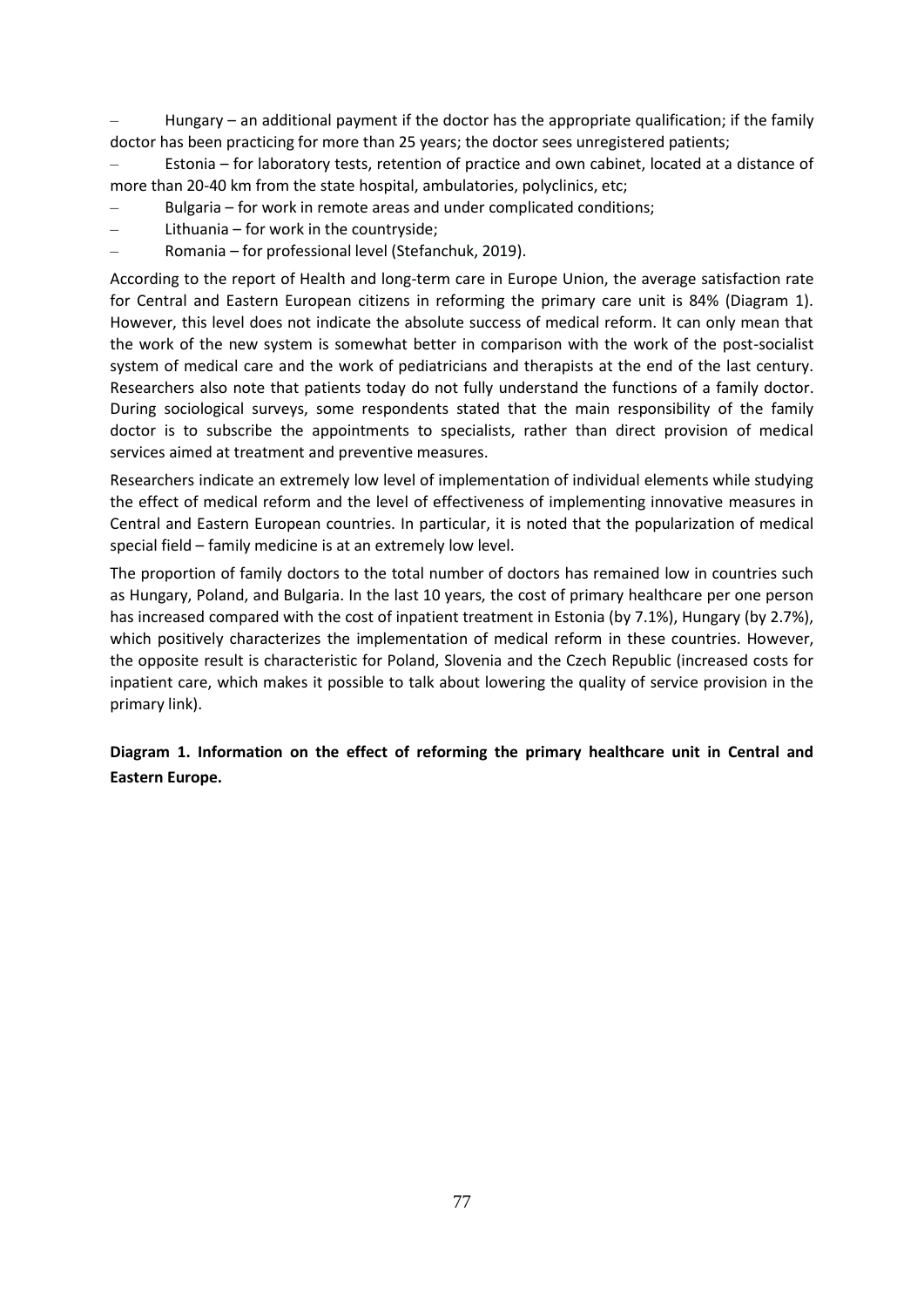– Hungary – an additional payment if the doctor has the appropriate qualification; if the family doctor has been practicing for more than 25 years; the doctor sees unregistered patients;

– Estonia – for laboratory tests, retention of practice and own cabinet, located at a distance of more than 20-40 km from the state hospital, ambulatories, polyclinics, etc;

– Bulgaria – for work in remote areas and under complicated conditions;

- Lithuania for work in the countryside;
- Romania for professional level (Stefanchuk, 2019).

According to the report of Health and long-term care in Europe Union, the average satisfaction rate for Central and Eastern European citizens in reforming the primary care unit is 84% (Diagram 1). However, this level does not indicate the absolute success of medical reform. It can only mean that the work of the new system is somewhat better in comparison with the work of the post-socialist system of medical care and the work of pediatricians and therapists at the end of the last century. Researchers also note that patients today do not fully understand the functions of a family doctor. During sociological surveys, some respondents stated that the main responsibility of the family doctor is to subscribe the appointments to specialists, rather than direct provision of medical services aimed at treatment and preventive measures.

Researchers indicate an extremely low level of implementation of individual elements while studying the effect of medical reform and the level of effectiveness of implementing innovative measures in Central and Eastern European countries. In particular, it is noted that the popularization of medical special field – family medicine is at an extremely low level.

The proportion of family doctors to the total number of doctors has remained low in countries such as Hungary, Poland, and Bulgaria. In the last 10 years, the cost of primary healthcare per one person has increased compared with the cost of inpatient treatment in Estonia (by 7.1%), Hungary (by 2.7%), which positively characterizes the implementation of medical reform in these countries. However, the opposite result is characteristic for Poland, Slovenia and the Czech Republic (increased costs for inpatient care, which makes it possible to talk about lowering the quality of service provision in the primary link).

**Diagram 1. Information on the effect of reforming the primary healthcare unit in Central and Eastern Europe.**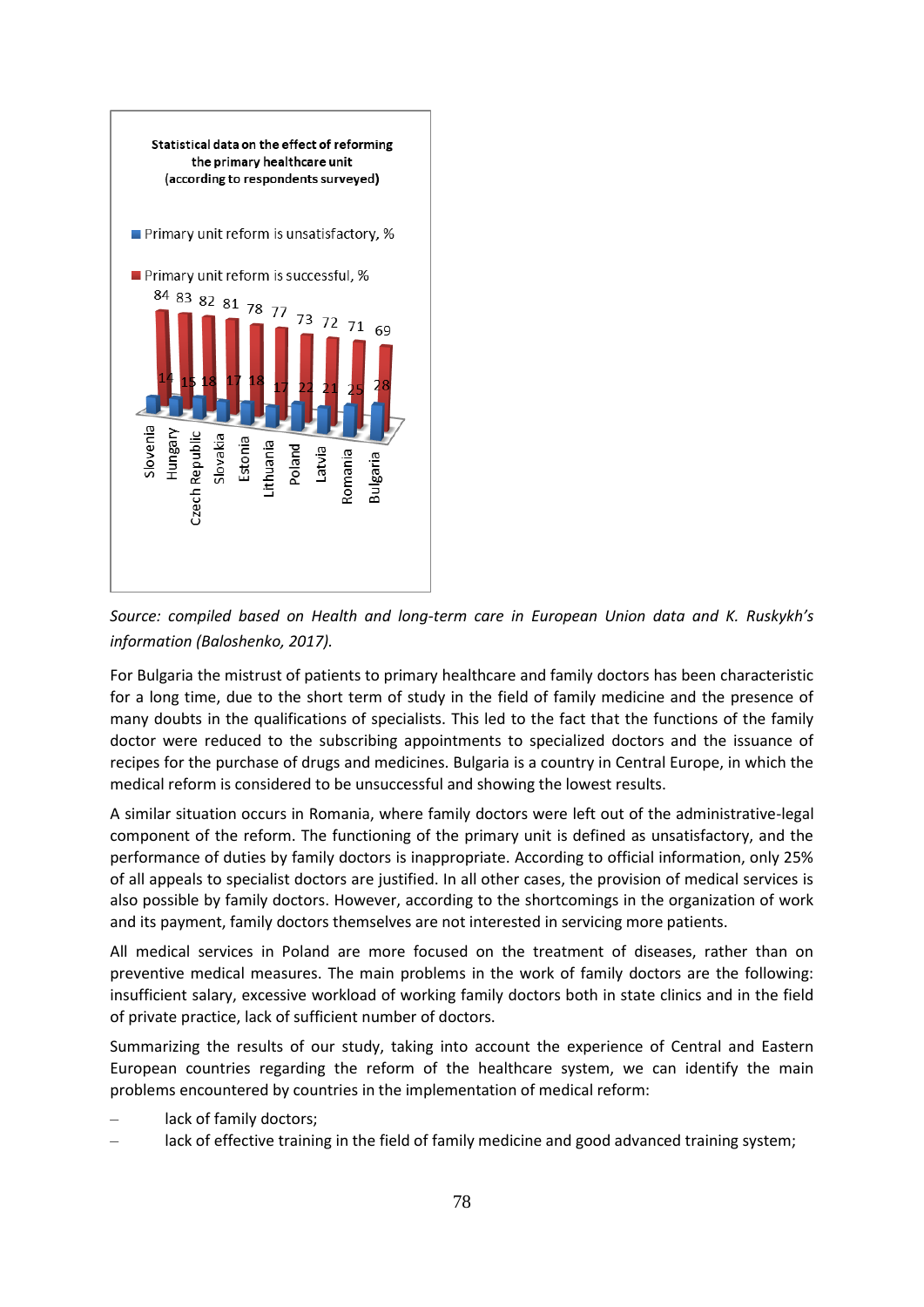

*Source: compiled based on Health and long-term care in European Union data and K. Ruskykh's information (Baloshenko, 2017).*

For Bulgaria the mistrust of patients to primary healthcare and family doctors has been characteristic for a long time, due to the short term of study in the field of family medicine and the presence of many doubts in the qualifications of specialists. This led to the fact that the functions of the family doctor were reduced to the subscribing appointments to specialized doctors and the issuance of recipes for the purchase of drugs and medicines. Bulgaria is a country in Central Europe, in which the medical reform is considered to be unsuccessful and showing the lowest results.

A similar situation occurs in Romania, where family doctors were left out of the administrative-legal component of the reform. The functioning of the primary unit is defined as unsatisfactory, and the performance of duties by family doctors is inappropriate. According to official information, only 25% of all appeals to specialist doctors are justified. In all other cases, the provision of medical services is also possible by family doctors. However, according to the shortcomings in the organization of work and its payment, family doctors themselves are not interested in servicing more patients.

All medical services in Poland are more focused on the treatment of diseases, rather than on preventive medical measures. The main problems in the work of family doctors are the following: insufficient salary, excessive workload of working family doctors both in state clinics and in the field of private practice, lack of sufficient number of doctors.

Summarizing the results of our study, taking into account the experience of Central and Eastern European countries regarding the reform of the healthcare system, we can identify the main problems encountered by countries in the implementation of medical reform:

- lack of family doctors;
- lack of effective training in the field of family medicine and good advanced training system;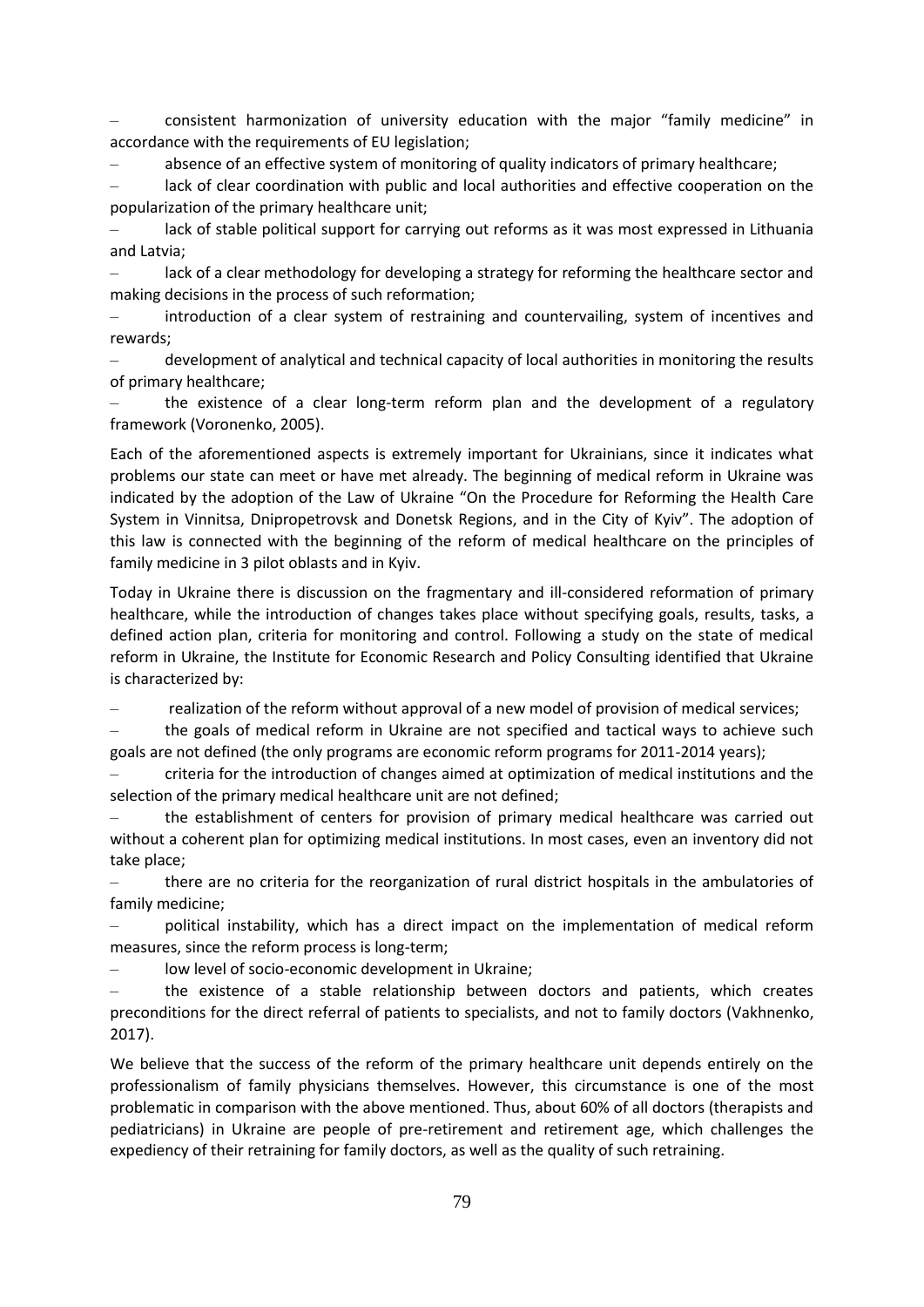– consistent harmonization of university education with the major "family medicine" in accordance with the requirements of EU legislation;

– absence of an effective system of monitoring of quality indicators of primary healthcare;

– lack of clear coordination with public and local authorities and effective cooperation on the popularization of the primary healthcare unit;

– lack of stable political support for carrying out reforms as it was most expressed in Lithuania and Latvia;

lack of a clear methodology for developing a strategy for reforming the healthcare sector and making decisions in the process of such reformation;

– introduction of a clear system of restraining and countervailing, system of incentives and rewards;

– development of analytical and technical capacity of local authorities in monitoring the results of primary healthcare;

the existence of a clear long-term reform plan and the development of a regulatory framework (Voronenko, 2005).

Each of the aforementioned aspects is extremely important for Ukrainians, since it indicates what problems our state can meet or have met already. The beginning of medical reform in Ukraine was indicated by the adoption of the Law of Ukraine "On the Procedure for Reforming the Health Care System in Vinnitsa, Dnipropetrovsk and Donetsk Regions, and in the City of Kyiv". The adoption of this law is connected with the beginning of the reform of medical healthcare on the principles of family medicine in 3 pilot oblasts and in Kyiv.

Today in Ukraine there is discussion on the fragmentary and ill-considered reformation of primary healthcare, while the introduction of changes takes place without specifying goals, results, tasks, a defined action plan, criteria for monitoring and control. Following a study on the state of medical reform in Ukraine, the Institute for Economic Research and Policy Consulting identified that Ukraine is characterized by:

– realization of the reform without approval of a new model of provision of medical services;

– the goals of medical reform in Ukraine are not specified and tactical ways to achieve such goals are not defined (the only programs are economic reform programs for 2011-2014 years);

– criteria for the introduction of changes aimed at optimization of medical institutions and the selection of the primary medical healthcare unit are not defined;

– the establishment of centers for provision of primary medical healthcare was carried out without a coherent plan for optimizing medical institutions. In most cases, even an inventory did not take place;

– there are no criteria for the reorganization of rural district hospitals in the ambulatories of family medicine;

– political instability, which has a direct impact on the implementation of medical reform measures, since the reform process is long-term;

low level of socio-economic development in Ukraine;

– the existence of a stable relationship between doctors and patients, which creates preconditions for the direct referral of patients to specialists, and not to family doctors (Vakhnenko, 2017).

We believe that the success of the reform of the primary healthcare unit depends entirely on the professionalism of family physicians themselves. However, this circumstance is one of the most problematic in comparison with the above mentioned. Thus, about 60% of all doctors (therapists and pediatricians) in Ukraine are people of pre-retirement and retirement age, which challenges the expediency of their retraining for family doctors, as well as the quality of such retraining.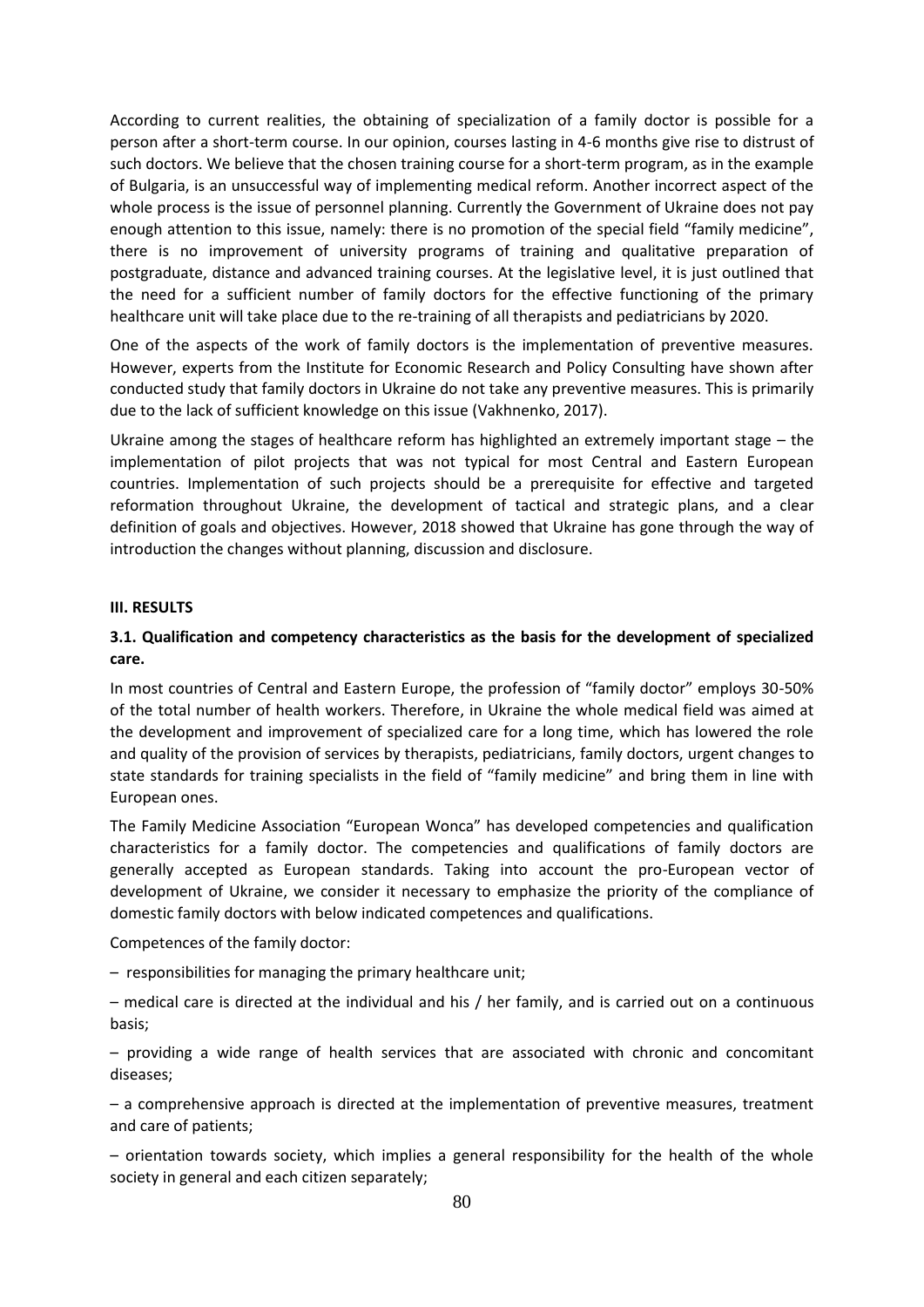According to current realities, the obtaining of specialization of a family doctor is possible for a person after a short-term course. In our opinion, courses lasting in 4-6 months give rise to distrust of such doctors. We believe that the chosen training course for a short-term program, as in the example of Bulgaria, is an unsuccessful way of implementing medical reform. Another incorrect aspect of the whole process is the issue of personnel planning. Currently the Government of Ukraine does not pay enough attention to this issue, namely: there is no promotion of the special field "family medicine", there is no improvement of university programs of training and qualitative preparation of postgraduate, distance and advanced training courses. At the legislative level, it is just outlined that the need for a sufficient number of family doctors for the effective functioning of the primary healthcare unit will take place due to the re-training of all therapists and pediatricians by 2020.

One of the aspects of the work of family doctors is the implementation of preventive measures. However, experts from the Institute for Economic Research and Policy Consulting have shown after conducted study that family doctors in Ukraine do not take any preventive measures. This is primarily due to the lack of sufficient knowledge on this issue (Vakhnenko, 2017).

Ukraine among the stages of healthcare reform has highlighted an extremely important stage – the implementation of pilot projects that was not typical for most Central and Eastern European countries. Implementation of such projects should be a prerequisite for effective and targeted reformation throughout Ukraine, the development of tactical and strategic plans, and a clear definition of goals and objectives. However, 2018 showed that Ukraine has gone through the way of introduction the changes without planning, discussion and disclosure.

#### **ІІІ. RESULTS**

## **3.1. Qualification and competency characteristics as the basis for the development of specialized care.**

In most countries of Central and Eastern Europe, the profession of "family doctor" employs 30-50% of the total number of health workers. Therefore, in Ukraine the whole medical field was aimed at the development and improvement of specialized care for a long time, which has lowered the role and quality of the provision of services by therapists, pediatricians, family doctors, urgent changes to state standards for training specialists in the field of "family medicine" and bring them in line with European ones.

The Family Medicine Association "European Wonca" has developed competencies and qualification characteristics for a family doctor. The competencies and qualifications of family doctors are generally accepted as European standards. Taking into account the pro-European vector of development of Ukraine, we consider it necessary to emphasize the priority of the compliance of domestic family doctors with below indicated competences and qualifications.

Competences of the family doctor:

– responsibilities for managing the primary healthcare unit;

– medical care is directed at the individual and his / her family, and is carried out on a continuous basis;

– providing a wide range of health services that are associated with chronic and concomitant diseases;

– a comprehensive approach is directed at the implementation of preventive measures, treatment and care of patients;

– orientation towards society, which implies a general responsibility for the health of the whole society in general and each citizen separately;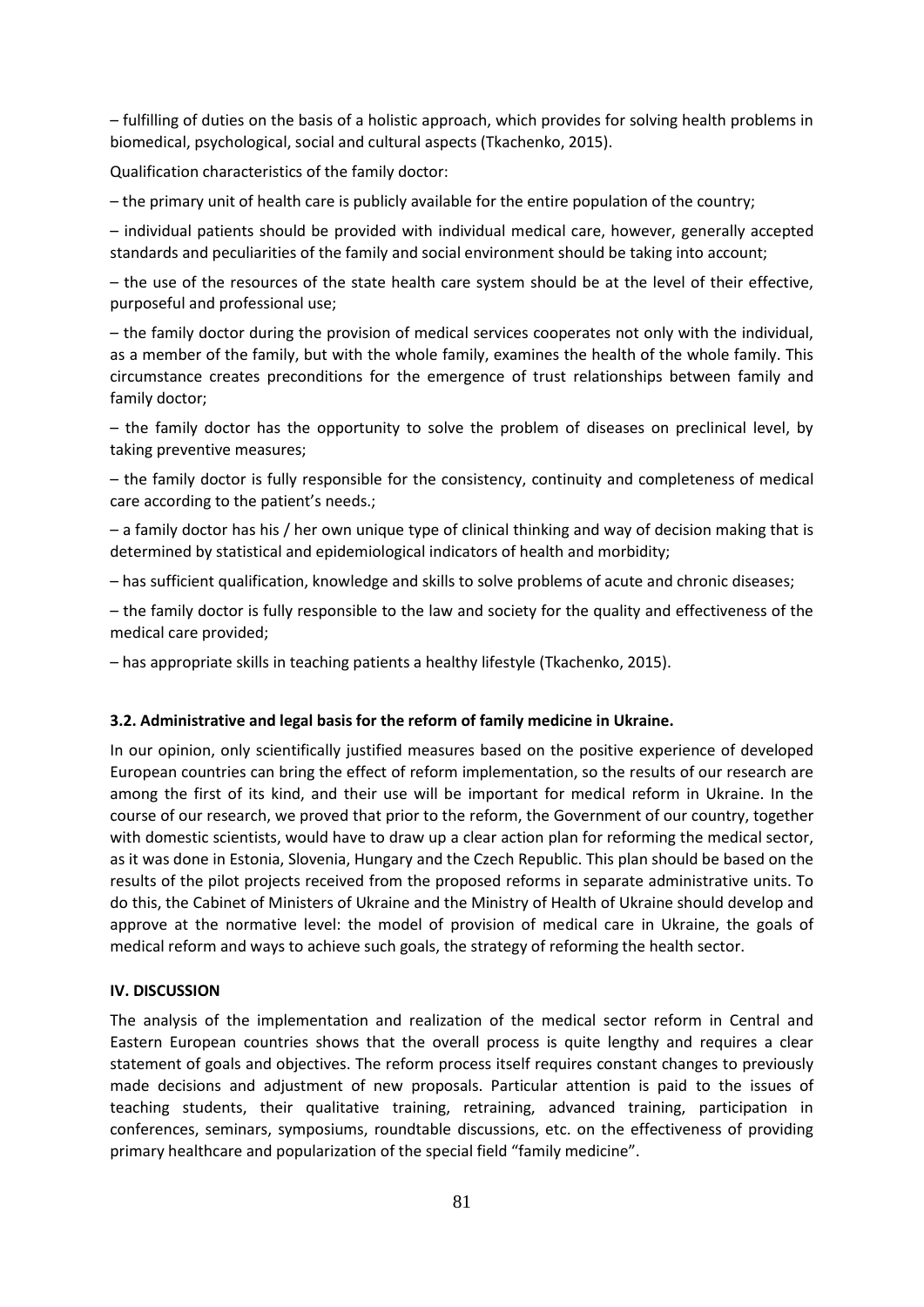– fulfilling of duties on the basis of a holistic approach, which provides for solving health problems in biomedical, psychological, social and cultural aspects (Tkachenko, 2015).

Qualification characteristics of the family doctor:

– the primary unit of health care is publicly available for the entire population of the country;

– individual patients should be provided with individual medical care, however, generally accepted standards and peculiarities of the family and social environment should be taking into account;

– the use of the resources of the state health care system should be at the level of their effective, purposeful and professional use;

– the family doctor during the provision of medical services cooperates not only with the individual, as a member of the family, but with the whole family, examines the health of the whole family. This circumstance creates preconditions for the emergence of trust relationships between family and family doctor;

– the family doctor has the opportunity to solve the problem of diseases on preclinical level, by taking preventive measures;

– the family doctor is fully responsible for the consistency, continuity and completeness of medical care according to the patient's needs.;

– a family doctor has his / her own unique type of clinical thinking and way of decision making that is determined by statistical and epidemiological indicators of health and morbidity;

– has sufficient qualification, knowledge and skills to solve problems of acute and chronic diseases;

– the family doctor is fully responsible to the law and society for the quality and effectiveness of the medical care provided;

– has appropriate skills in teaching patients a healthy lifestyle (Tkachenko, 2015).

#### **3.2. Administrative and legal basis for the reform of family medicine in Ukraine.**

In our opinion, only scientifically justified measures based on the positive experience of developed European countries can bring the effect of reform implementation, so the results of our research are among the first of its kind, and their use will be important for medical reform in Ukraine. In the course of our research, we proved that prior to the reform, the Government of our country, together with domestic scientists, would have to draw up a clear action plan for reforming the medical sector, as it was done in Estonia, Slovenia, Hungary and the Czech Republic. This plan should be based on the results of the pilot projects received from the proposed reforms in separate administrative units. To do this, the Cabinet of Ministers of Ukraine and the Ministry of Health of Ukraine should develop and approve at the normative level: the model of provision of medical care in Ukraine, the goals of medical reform and ways to achieve such goals, the strategy of reforming the health sector.

#### **IV. DISCUSSION**

The analysis of the implementation and realization of the medical sector reform in Central and Eastern European countries shows that the overall process is quite lengthy and requires a clear statement of goals and objectives. The reform process itself requires constant changes to previously made decisions and adjustment of new proposals. Particular attention is paid to the issues of teaching students, their qualitative training, retraining, advanced training, participation in conferences, seminars, symposiums, roundtable discussions, etc. on the effectiveness of providing primary healthcare and popularization of the special field "family medicine".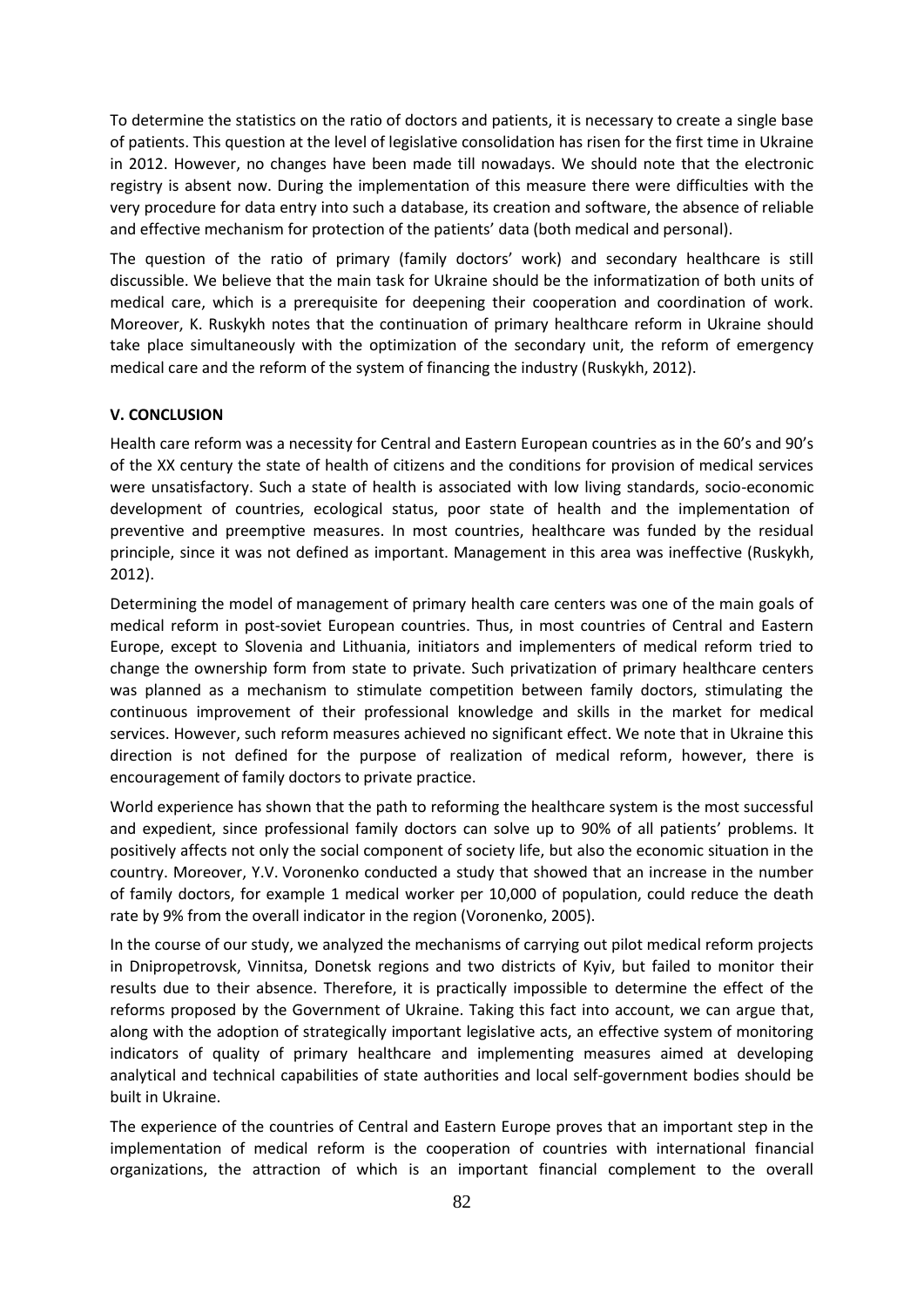To determine the statistics on the ratio of doctors and patients, it is necessary to create a single base of patients. This question at the level of legislative consolidation has risen for the first time in Ukraine in 2012. However, no changes have been made till nowadays. We should note that the electronic registry is absent now. During the implementation of this measure there were difficulties with the very procedure for data entry into such a database, its creation and software, the absence of reliable and effective mechanism for protection of the patients' data (both medical and personal).

The question of the ratio of primary (family doctors' work) and secondary healthcare is still discussible. We believe that the main task for Ukraine should be the informatization of both units of medical care, which is a prerequisite for deepening their cooperation and coordination of work. Moreover, K. Ruskykh notes that the continuation of primary healthcare reform in Ukraine should take place simultaneously with the optimization of the secondary unit, the reform of emergency medical care and the reform of the system of financing the industry (Ruskykh, 2012).

#### **V. CONCLUSION**

Health care reform was a necessity for Central and Eastern European countries as in the 60's and 90's of the XX century the state of health of citizens and the conditions for provision of medical services were unsatisfactory. Such a state of health is associated with low living standards, socio-economic development of countries, ecological status, poor state of health and the implementation of preventive and preemptive measures. In most countries, healthcare was funded by the residual principle, since it was not defined as important. Management in this area was ineffective (Ruskykh, 2012).

Determining the model of management of primary health care centers was one of the main goals of medical reform in post-soviet European countries. Thus, in most countries of Central and Eastern Europe, except to Slovenia and Lithuania, initiators and implementers of medical reform tried to change the ownership form from state to private. Such privatization of primary healthcare centers was planned as a mechanism to stimulate competition between family doctors, stimulating the continuous improvement of their professional knowledge and skills in the market for medical services. However, such reform measures achieved no significant effect. We note that in Ukraine this direction is not defined for the purpose of realization of medical reform, however, there is encouragement of family doctors to private practice.

World experience has shown that the path to reforming the healthcare system is the most successful and expedient, since professional family doctors can solve up to 90% of all patients' problems. It positively affects not only the social component of society life, but also the economic situation in the country. Moreover, Y.V. Voronenko conducted a study that showed that an increase in the number of family doctors, for example 1 medical worker per 10,000 of population, could reduce the death rate by 9% from the overall indicator in the region (Voronenko, 2005).

In the course of our study, we analyzed the mechanisms of carrying out pilot medical reform projects in Dnipropetrovsk, Vinnitsa, Donetsk regions and two districts of Kyiv, but failed to monitor their results due to their absence. Therefore, it is practically impossible to determine the effect of the reforms proposed by the Government of Ukraine. Taking this fact into account, we can argue that, along with the adoption of strategically important legislative acts, an effective system of monitoring indicators of quality of primary healthcare and implementing measures aimed at developing analytical and technical capabilities of state authorities and local self-government bodies should be built in Ukraine.

The experience of the countries of Central and Eastern Europe proves that an important step in the implementation of medical reform is the cooperation of countries with international financial organizations, the attraction of which is an important financial complement to the overall